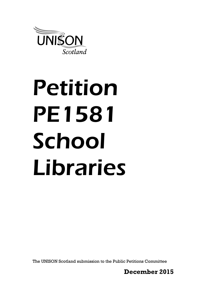

# Petition PE1581 School Libraries

The UNISON Scotland submission to the Public Petitions Committee

**December 2015**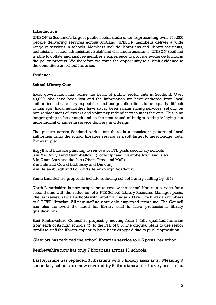### **Introduction**

UNISON is Scotland's largest public sector trade union representing over 150,000 people delivering services across Scotland. UNISON members deliver a wide range of services in schools. Members include: librarians and library assistants, technicians, school administrative staff and classroom assistants. UNISON Scotland is able to collate and analyse member's experience to provide evidence to inform the policy process. We therefore welcome the opportunity to submit evidence to the committee on school libraries.

## **Evidence**

# **School Library Cuts**

Local government has borne the brunt of public sector cuts in Scotland. Over 40,000 jobs have been lost and the information we have gathered from local authorities indicate they expect the next budget allocations to be equally difficult to manage. Local authorities have so far been salami slicing services, relying on non replacement of leavers and voluntary redundancy to meet the cuts. This is no longer going to be enough and so the next round of budget setting is laying out more radical changes in service delivery and design.

The picture across Scotland varies but there is a consistent pattern of local authorities using the school libraries service as a soft target to meet budget cuts: For example:

Argyll and Bute are planning to remove 10 FTE posts secondary schools

- 3 in Mid Argyll and Campbeltown (Lochgilphead, Campbeltown and Islay
- 3 In Oban Lorn and the Isle (Oban, Tiree and Mull)
- 2 in Bute and Cowal (Rothesay and Dunoon)
- 2 in Helensburgh and Lomond (Helensburgh Academy)

South Lanarkshire proposals include reducing school library staffing by 15%

North Lanarkshire is now proposing to review the school librarian service for a second time with the reduction of 2 FTE School Library Resource Manager posts. The last review saw all schools with pupil roll under 700 reduce librarian numbers to 0.7 FTE librarian. All new staff now are only employed term time. The Council has also removed the need for library staff to have professional library qualifications.

East Renfrewshire Council is proposing moving from 1 fully qualified librarian from each of its high schools (7) to the FTE of 3.5. The original plans to use senior pupils to staff the library appear to have been dropped due to public opposition.

Glasgow has reduced the school librarian service to 0.5 posts per school.

Renfrewshire now has only 7 librarians across 11 schools.

East Ayrshire has replaced 3 librarians with 3 library assistants. Meaning 9 secondary schools are now covered by 5 librarians and 4 library assistants.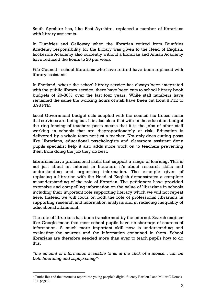South Ayrshire has, like East Ayrshire, replaced a number of librarians with library assistants.

In Dumfries and Galloway when the librarian retired from Dumfries Academy responsibility for the library was given to the Head of English. Lockerbie Academy also currently without a librarian and Annan Academy have reduced the hours to 20 per week

Fife Council - school librarians who have retired have been replaced with library assistants

In Shetland, where the school library service has always been integrated with the public library service, there have been cuts to school library book budgets of 20-30% over the last four years. While staff numbers have remained the same the working hours of staff have been cut from 8 FTE to 5.93 FTE.

Local Government budget cuts coupled with the council tax freeze mean that services are being cut. It is also clear that with-in the education budget the ring-fencing of teachers posts means that it is the jobs of other staff working in schools that are disproportionately at risk. Education is delivered by a whole team not just a teacher. Not only does cutting posts like librarians, educational psychologists and classroom assistant deny pupils specialist help it also adds more work on to teachers preventing them from doing the job they do best.

Librarians have professional skills that support a range of learning. This is not just about an interest in literature it's about research skills and understanding and organising information. The example given of replacing a librarian with the Head of English demonstrates a complete misunderstanding of the role of librarian. The petitioners have provided extensive and compelling information on the value of librarians in schools including their important role supporting literacy which we will not repeat here. Instead we will focus on both the role of professional librarians in supporting research and information analysis and in reducing inequality of educational attainment.

The role of librarians has been transformed by the internet. Search engines like Google mean that most school pupils have no shortage of sources of information. A much more important skill now is understanding and evaluating the sources and the information contained in them. School librarians are therefore needed more than ever to teach pupils how to do this.

"*the amount of information available to us at the click of a mouse... can be both liberating and asphyxiating*" 1

<u>.</u>

<sup>1</sup> Truths lies and the internet a report into young people's digital fluency Bartlett J and Miller C Demos 2011page 3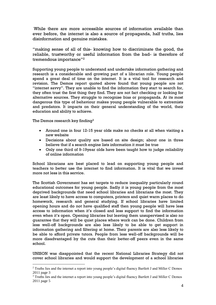While there are more accessible sources of information available than ever before, the internet is also a source of propaganda, half truths, lies disinformation and genuine mistakes.

"making sense of all of this- knowing how to discriminate the good, the reliable, trustworthy or useful information from the bad- is therefore of tremendous importance"<sup>2</sup>

Supporting young people to understand and undertake information gathering and research is a considerable and growing part of a librarian role. Young people spend a great deal of time on the internet. It is a vital tool for research and revision. The Demos report quoted above found that young people are not "internet savvy". They are unable to find the information they start to search for, they often trust the first thing they find. They are not fact checking or looking for alternative sources. They struggle to recognise bias or propaganda. At its most dangerous this type of behaviour makes young people vulnerable to extremists and predators. It impacts on their general understanding of the world, their education and ability to achieve.

The Demos research key finding<sup>3</sup>

1

- Around one in four 12-15 year olds make no checks at all when visiting a new website
- Decisions about quality are based on site design; about one in three believe that if a search engine lists information it must be true
- Only one third of 9-19year olds have been taught how to judge reliability of online information

School librarians are best placed to lead on supporting young people and teachers to better use the internet to find information. It is vital that we invest more not less in this service.

The Scottish Government has set targets to reduce inequality particularly round educational outcomes for young people. Sadly it is young people from the most deprived backgrounds that need school libraries and librarians the most. They are least likely to have access to computers, printers and quiet warm places to do homework, research and general studying. If school libraries have limited opening hours and do not have qualified staff then young people will have less access to information when it's closed and less support to find the information even when it's open. Opening libraries but leaving them unsupervised is also no guarantee that they will be quiet places where work can be done. Children from less well-off backgrounds are also less likely to be able to get support in information gathering and filtering at home. Their parents are also less likely to be able to afford private tutors. People from less well-off backgrounds will be more disadvantaged by the cuts than their better-off peers even in the same school.

UNISON was disappointed that the recent National Libraries Strategy did not cover school libraries and would support the development of a school libraries

<sup>2</sup> Truths lies and the internet a report into young people's digital fluency Bartlett J and Miller C Demos 2011 page 3

<sup>3</sup> Truths lies and the internet a report into young people's digital fluency Bartlett J and Miller C Demos 2011 page 5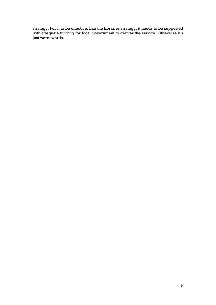strategy. For it to be effective, like the libraries strategy, it needs to be supported with adequate funding for local government to deliver the service. Otherwise it's just warm words.